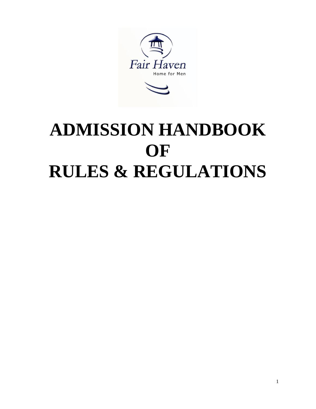

# **ADMISSION HANDBOOK OF RULES & REGULATIONS**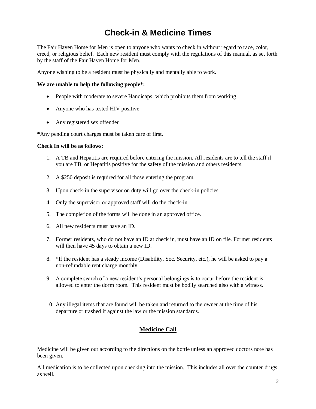# **Check-in & Medicine Times**

The Fair Haven Home for Men is open to anyone who wants to check in without regard to race, color, creed, or religious belief. Each new resident must comply with the regulations of this manual, as set forth by the staff of the Fair Haven Home for Men.

Anyone wishing to be a resident must be physically and mentally able to work.

#### **We are unable to help the following people\*:**

- People with moderate to severe Handicaps, which prohibits them from working
- Anyone who has tested HIV positive
- Any registered sex offender

**\***Any pending court charges must be taken care of first.

#### **Check In will be as follows**:

- 1. A TB and Hepatitis are required before entering the mission. All residents are to tell the staff if you are TB, or Hepatitis positive for the safety of the mission and others residents.
- 2. A \$250 deposit is required for all those entering the program.
- 3. Upon check-in the supervisor on duty will go over the check-in policies.
- 4. Only the supervisor or approved staff will do the check-in.
- 5. The completion of the forms will be done in an approved office.
- 6. All new residents must have an ID.
- 7. Former residents, who do not have an ID at check in, must have an ID on file. Former residents will then have 45 days to obtain a new ID.
- 8. \*If the resident has a steady income (Disability, Soc. Security, etc.), he will be asked to pay a non-refundable rent charge monthly.
- 9. A complete search of a new resident's personal belongings is to occur before the resident is allowed to enter the dorm room. This resident must be bodily searched also with a witness.
- 10. Any illegal items that are found will be taken and returned to the owner at the time of his departure or trashed if against the law or the mission standards.

#### **Medicine Call**

Medicine will be given out according to the directions on the bottle unless an approved doctors note has been given.

All medication is to be collected upon checking into the mission. This includes all over the counter drugs as well.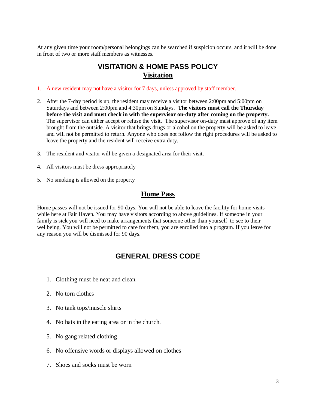At any given time your room/personal belongings can be searched if suspicion occurs, and it will be done in front of two or more staff members as witnesses.

## **VISITATION & HOME PASS POLICY Visitation**

- 1. A new resident may not have a visitor for 7 days, unless approved by staff member.
- 2. After the 7-day period is up, the resident may receive a visitor between 2:00pm and 5:00pm on Saturdays and between 2:00pm and 4:30pm on Sundays. **The visitors must call the Thursday before the visit and must check in with the supervisor on-duty after coming on the property.** The supervisor can either accept or refuse the visit. The supervisor on-duty must approve of any item brought from the outside. A visitor that brings drugs or alcohol on the property will be asked to leave and will not be permitted to return. Anyone who does not follow the right procedures will be asked to leave the property and the resident will receive extra duty.
- 3. The resident and visitor will be given a designated area for their visit.
- 4. All visitors must be dress appropriately
- 5. No smoking is allowed on the property

#### **Home Pass**

Home passes will not be issued for 90 days. You will not be able to leave the facility for home visits while here at Fair Haven. You may have visitors according to above guidelines. If someone in your family is sick you will need to make arrangements that someone other than yourself to see to their wellbeing. You will not be permitted to care for them, you are enrolled into a program. If you leave for any reason you will be dismissed for 90 days.

## **GENERAL DRESS CODE**

- 1. Clothing must be neat and clean.
- 2. No torn clothes
- 3. No tank tops/muscle shirts
- 4. No hats in the eating area or in the church.
- 5. No gang related clothing
- 6. No offensive words or displays allowed on clothes
- 7. Shoes and socks must be worn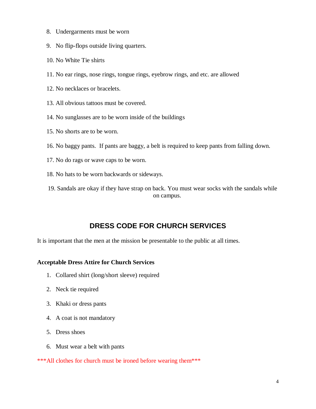- 8. Undergarments must be worn
- 9. No flip-flops outside living quarters.
- 10. No White Tie shirts
- 11. No ear rings, nose rings, tongue rings, eyebrow rings, and etc. are allowed
- 12. No necklaces or bracelets.
- 13. All obvious tattoos must be covered.
- 14. No sunglasses are to be worn inside of the buildings
- 15. No shorts are to be worn.
- 16. No baggy pants. If pants are baggy, a belt is required to keep pants from falling down.
- 17. No do rags or wave caps to be worn.
- 18. No hats to be worn backwards or sideways.
- 19. Sandals are okay if they have strap on back. You must wear socks with the sandals while on campus.

## **DRESS CODE FOR CHURCH SERVICES**

It is important that the men at the mission be presentable to the public at all times.

#### **Acceptable Dress Attire for Church Services**

- 1. Collared shirt (long/short sleeve) required
- 2. Neck tie required
- 3. Khaki or dress pants
- 4. A coat is not mandatory
- 5. Dress shoes
- 6. Must wear a belt with pants

\*\*\*All clothes for church must be ironed before wearing them\*\*\*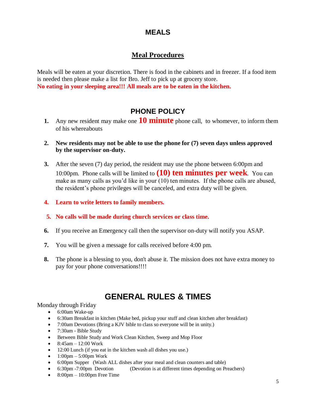## **MEALS**

## **Meal Procedures**

Meals will be eaten at your discretion. There is food in the cabinets and in freezer. If a food item is needed then please make a list for Bro. Jeff to pick up at grocery store. **No eating in your sleeping area!!! All meals are to be eaten in the kitchen.** 

# **PHONE POLICY**

- **1.** Any new resident may make one **10 minute** phone call, to whomever, to inform them of his whereabouts
- **2. New residents may not be able to use the phone for (7) seven days unless approved by the supervisor on-duty.**
- **3.** After the seven (7) day period, the resident may use the phone between 6:00pm and 10:00pm. Phone calls will be limited to **(10) ten minutes per week**. You can make as many calls as you'd like in your (10) ten minutes. If the phone calls are abused, the resident's phone privileges will be canceled, and extra duty will be given.
- **4. Learn to write letters to family members.**
- **5. No calls will be made during church services or class time.**
- **6.** If you receive an Emergency call then the supervisor on-duty will notify you ASAP.
- **7.** You will be given a message for calls received before 4:00 pm.
- **8.** The phone is a blessing to you, don't abuse it. The mission does not have extra money to pay for your phone conversations!!!!

# **GENERAL RULES & TIMES**

#### Monday through Friday

- 6:00am Wake-up
- 6:30am Breakfast in kitchen (Make bed, pickup your stuff and clean kitchen after breakfast)
- 7:00am Devotions (Bring a KJV bible to class so everyone will be in unity.)
- 7:30am Bible Study
- Between Bible Study and Work Clean Kitchen, Sweep and Mop Floor
- $\bullet$  8:45am 12:00 Work
- 12:00 Lunch (if you eat in the kitchen wash all dishes you use.)
- $\bullet$  1:00pm 5:00pm Work
- 6:00pm Supper (Wash ALL dishes after your meal and clean counters and table)
- 6:30pm -7:00pm Devotion (Devotion is at different times depending on Preachers)
- $\bullet$  8:00pm 10:00pm Free Time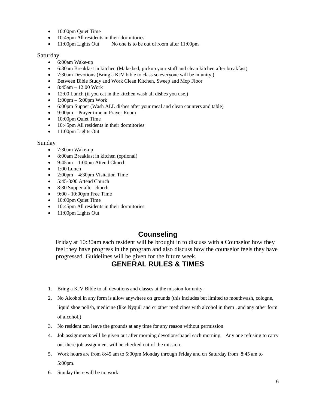- 10:00pm Quiet Time
- 10:45pm All residents in their dormitories
- 11:00pm Lights Out No one is to be out of room after 11:00pm

#### Saturday

- 6:00am Wake-up
- 6:30am Breakfast in kitchen (Make bed, pickup your stuff and clean kitchen after breakfast)
- 7:30am Devotions (Bring a KJV bible to class so everyone will be in unity.)
- Between Bible Study and Work Clean Kitchen, Sweep and Mop Floor
- $\bullet$  8:45am 12:00 Work
- 12:00 Lunch (if you eat in the kitchen wash all dishes you use.)
- $\bullet$  1:00pm 5:00pm Work
- 6:00pm Supper (Wash ALL dishes after your meal and clean counters and table)
- 9:00pm Prayer time in Prayer Room
- 10:00pm Quiet Time
- 10:45pm All residents in their dormitories
- $\bullet$  11:00pm Lights Out

#### Sunday

- 7:30am Wake-up
- 8:00am Breakfast in kitchen (optional)
- $\bullet$  9:45am 1:00pm Attend Church
- $\bullet$  1:00 Lunch
- $2:00 \text{pm} 4:30 \text{pm}$  Visitation Time
- 5:45-8:00 Attend Church
- 8:30 Supper after church
- 9:00 10:00pm Free Time
- 10:00pm Quiet Time
- 10:45pm All residents in their dormitories
- 11:00pm Lights Out

## **Counseling**

Friday at 10:30am each resident will be brought in to discuss with a Counselor how they feel they have progress in the program and also discuss how the counselor feels they have progressed. Guidelines will be given for the future week.

## **GENERAL RULES & TIMES**

- 1. Bring a KJV Bible to all devotions and classes at the mission for unity.
- 2. No Alcohol in any form is allow anywhere on grounds (this includes but limited to mouthwash, cologne, liquid shoe polish, medicine (like Nyquil and or other medicines with alcohol in them , and any other form of alcohol.)
- 3. No resident can leave the grounds at any time for any reason without permission
- 4. Job assignments will be given out after morning devotion/chapel each morning. Any one refusing to carry out there job assignment will be checked out of the mission.
- 5. Work hours are from 8:45 am to 5:00pm Monday through Friday and on Saturday from 8:45 am to 5:00pm.
- 6. Sunday there will be no work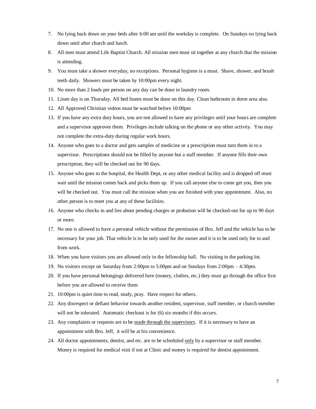- 7. No lying back down on your beds after 6:00 am until the workday is complete. On Sundays no lying back down until after church and lunch.
- 8. All men must attend Life Baptist Church. All mission men must sit together at any church that the mission is attending.
- 9. You must take a shower everyday, no exceptions. Personal hygiene is a must. Shave, shower, and brush teeth daily. Showers must be taken by 10:00pm every night.
- 10. No more than 2 loads per person on any day can be done in laundry room.
- 11. Linen day is on Thursday. All bed linens must be done on this day. Clean bathroom in dorm area also.
- 12. All Approved Christian videos must be watched before 10:00pm
- 13. If you have any extra duty hours, you are not allowed to have any privileges until your hours are complete and a supervisor approves them. Privileges include talking on the phone or any other activity. You may not complete the extra-duty during regular work hours.
- 14. Anyone who goes to a doctor and gets samples of medicine or a prescription must turn them in to a supervisor. Prescriptions should not be filled by anyone but a staff member. If anyone fills their own prescription, they will be checked out for 90 days.
- 15. Anyone who goes to the hospital, the Health Dept, or any other medical facility and is dropped off must wait until the mission comes back and picks them up. If you call anyone else to come get you, then you will be checked out. You must call the mission when you are finished with your appointment. Also, no other person is to meet you at any of these facilities.
- 16. Anyone who checks in and lies about pending charges or probation will be checked-out for up to 90 days or more.
- 17. No one is allowed to have a personal vehicle without the permission of Bro. Jeff and the vehicle has to be necessary for your job. That vehicle is to be only used for the owner and it is to be used only for to and from work.
- 18. When you have visitors you are allowed only in the fellowship hall. No visiting in the parking lot.
- 19. No visitors except on Saturday from 2:00pm to 5:00pm and on Sundays from 2:00pm 4:30pm.
- 20. If you have personal belongings delivered here (money, clothes, etc.) they must go through the office first before you are allowed to receive them
- 21. 10:00pm is quiet time to read, study, pray. Have respect for others.
- 22. Any disrespect or defiant behavior towards another resident, supervisor, staff member, or church member will not be tolerated. Automatic checkout is for  $(6)$  six-months if this occurs.
- 23. Any complaints or requests are to be made through the supervisors. If it is necessary to have an appointment with Bro. Jeff, it will be at his convenience.
- 24. All doctor appointments, dentist, and etc. are to be scheduled only by a supervisor or staff member. Money is required for medical visit if not at Clinic and money is required for dentist appointment.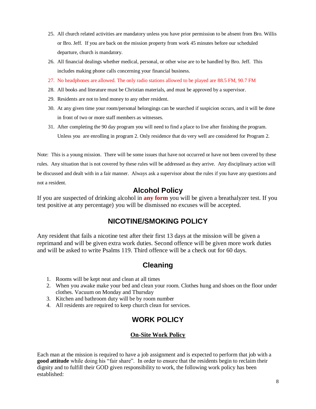- 25. All church related activities are mandatory unless you have prior permission to be absent from Bro. Willis or Bro. Jeff. If you are back on the mission property from work 45 minutes before our scheduled departure, church is mandatory.
- 26. All financial dealings whether medical, personal, or other wise are to be handled by Bro. Jeff. This includes making phone calls concerning your financial business.
- 27. No headphones are allowed. The only radio stations allowed to be played are 88.5 FM, 90.7 FM
- 28. All books and literature must be Christian materials, and must be approved by a supervisor.
- 29. Residents are not to lend money to any other resident.
- 30. At any given time your room/personal belongings can be searched if suspicion occurs, and it will be done in front of two or more staff members as witnesses.
- 31. After completing the 90 day program you will need to find a place to live after finishing the program. Unless you are enrolling in program 2. Only residence that do very well are considered for Program 2.

Note: This is a young mission. There will be some issues that have not occurred or have not been covered by these rules. Any situation that is not covered by these rules will be addressed as they arrive. Any disciplinary action will be discussed and dealt with in a fair manner. Always ask a supervisor about the rules if you have any questions and not a resident.

#### **Alcohol Policy**

If you are suspected of drinking alcohol in **any form** you will be given a breathalyzer test. If you test positive at any percentage) you will be dismissed no excuses will be accepted.

## **NICOTINE/SMOKING POLICY**

Any resident that fails a nicotine test after their first 13 days at the mission will be given a reprimand and will be given extra work duties. Second offence will be given more work duties and will be asked to write Psalms 119. Third offence will be a check out for 60 days.

## **Cleaning**

- 1. Rooms will be kept neat and clean at all times
- 2. When you awake make your bed and clean your room. Clothes hung and shoes on the floor under clothes. Vacuum on Monday and Thursday
- 3. Kitchen and bathroom duty will be by room number
- 4. All residents are required to keep church clean for services.

## **WORK POLICY**

#### **On-Site Work Policy**

Each man at the mission is required to have a job assignment and is expected to perform that job with a **good attitude** while doing his "fair share". In order to ensure that the residents begin to reclaim their dignity and to fulfill their GOD given responsibility to work, the following work policy has been established: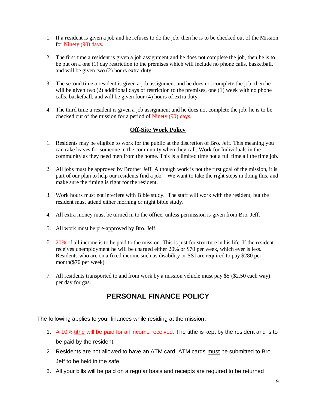- 1. If a resident is given a job and he refuses to do the job, then he is to be checked out of the Mission for Ninety (90) days.
- 2. The first time a resident is given a job assignment and he does not complete the job, then he is to be put on a one (1) day restriction to the premises which will include no phone calls, basketball, and will be given two (2) hours extra duty.
- 3. The second time a resident is given a job assignment and he does not complete the job, then he will be given two (2) additional days of restriction to the premises, one (1) week with no phone calls, basketball, and will be given four (4) hours of extra duty.
- 4. The third time a resident is given a job assignment and he does not complete the job, he is to be checked out of the mission for a period of Ninety (90) days.

#### **Off-Site Work Policy**

- 1. Residents may be eligible to work for the public at the discretion of Bro. Jeff. This meaning you can rake leaves for someone in the community when they call. Work for Individuals in the community as they need men from the home. This is a limited time not a full time all the time job.
- 2. All jobs must be approved by Brother Jeff. Although work is not the first goal of the mission, it is part of our plan to help our residents find a job. We want to take the right steps in doing this, and make sure the timing is right for the resident.
- 3. Work hours must not interfere with Bible study. The staff will work with the resident, but the resident must attend either morning or night bible study.
- 4. All extra money must be turned in to the office, unless permission is given from Bro. Jeff.
- 5. All work must be pre-approved by Bro. Jeff.
- 6. 20% of all income is to be paid to the mission. This is just for structure in his life. If the resident receives unemployment he will be charged either 20% or \$70 per week, which ever is less. Residents who are on a fixed income such as disability or SSI are required to pay \$280 per month(\$70 per week)
- 7. All residents transported to and from work by a mission vehicle must pay \$5 (\$2.50 each way) per day for gas.

## **PERSONAL FINANCE POLICY**

The following applies to your finances while residing at the mission:

- 1. A 10% tithe will be paid for all income received. The tithe is kept by the resident and is to be paid by the resident.
- 2. Residents are not allowed to have an ATM card. ATM cards must be submitted to Bro. Jeff to be held in the safe.
- 3. All your bills will be paid on a regular basis and receipts are required to be returned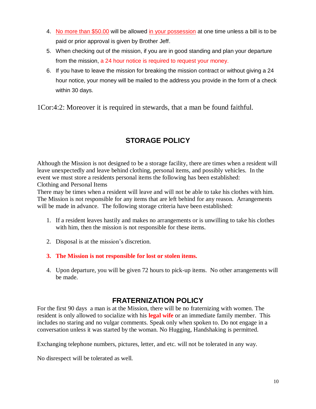- 4. No more than \$50.00 will be allowed in your possession at one time unless a bill is to be paid or prior approval is given by Brother Jeff.
- 5. When checking out of the mission, if you are in good standing and plan your departure from the mission, a 24 hour notice is required to request your money.
- 6. If you have to leave the mission for breaking the mission contract or without giving a 24 hour notice, your money will be mailed to the address you provide in the form of a check within 30 days.

1Cor:4:2: Moreover it is required in stewards, that a man be found faithful.

# **STORAGE POLICY**

Although the Mission is not designed to be a storage facility, there are times when a resident will leave unexpectedly and leave behind clothing, personal items, and possibly vehicles. In the event we must store a residents personal items the following has been established: Clothing and Personal Items

There may be times when a resident will leave and will not be able to take his clothes with him. The Mission is not responsible for any items that are left behind for any reason. Arrangements will be made in advance. The following storage criteria have been established:

- 1. If a resident leaves hastily and makes no arrangements or is unwilling to take his clothes with him, then the mission is not responsible for these items.
- 2. Disposal is at the mission's discretion.
- **3. The Mission is not responsible for lost or stolen items.**
- 4. Upon departure, you will be given 72 hours to pick-up items. No other arrangements will be made.

## **FRATERNIZATION POLICY**

For the first 90 days a man is at the Mission, there will be no fraternizing with women. The resident is only allowed to socialize with his **legal wife** or an immediate family member. This includes no staring and no vulgar comments. Speak only when spoken to. Do not engage in a conversation unless it was started by the woman. No Hugging, Handshaking is permitted.

Exchanging telephone numbers, pictures, letter, and etc. will not be tolerated in any way.

No disrespect will be tolerated as well.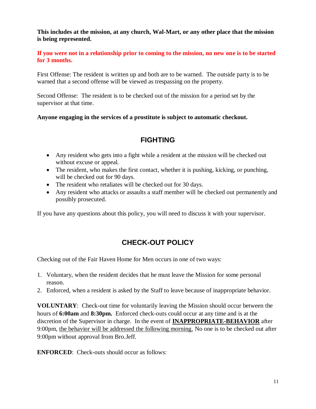**This includes at the mission, at any church, Wal-Mart, or any other place that the mission is being represented.**

**If you were not in a relationship prior to coming to the mission, no new one is to be started for 3 months.**

First Offense: The resident is written up and both are to be warned. The outside party is to be warned that a second offense will be viewed as trespassing on the property.

Second Offense: The resident is to be checked out of the mission for a period set by the supervisor at that time.

**Anyone engaging in the services of a prostitute is subject to automatic checkout.**

## **FIGHTING**

- Any resident who gets into a fight while a resident at the mission will be checked out without excuse or appeal.
- The resident, who makes the first contact, whether it is pushing, kicking, or punching, will be checked out for 90 days.
- The resident who retaliates will be checked out for 30 days.
- Any resident who attacks or assaults a staff member will be checked out permanently and possibly prosecuted.

If you have any questions about this policy, you will need to discuss it with your supervisor.

# **CHECK-OUT POLICY**

Checking out of the Fair Haven Home for Men occurs in one of two ways:

- 1. Voluntary, when the resident decides that he must leave the Mission for some personal reason.
- 2. Enforced, when a resident is asked by the Staff to leave because of inappropriate behavior.

**VOLUNTARY**: Check-out time for voluntarily leaving the Mission should occur between the hours of **6:00am** and **8:30pm.** Enforced check-outs could occur at any time and is at the discretion of the Supervisor in charge. In the event of **INAPPROPRIATE-BEHAVIOR** after 9:00pm, the behavior will be addressed the following morning. No one is to be checked out after 9:00pm without approval from Bro.Jeff.

**ENFORCED**: Check-outs should occur as follows: